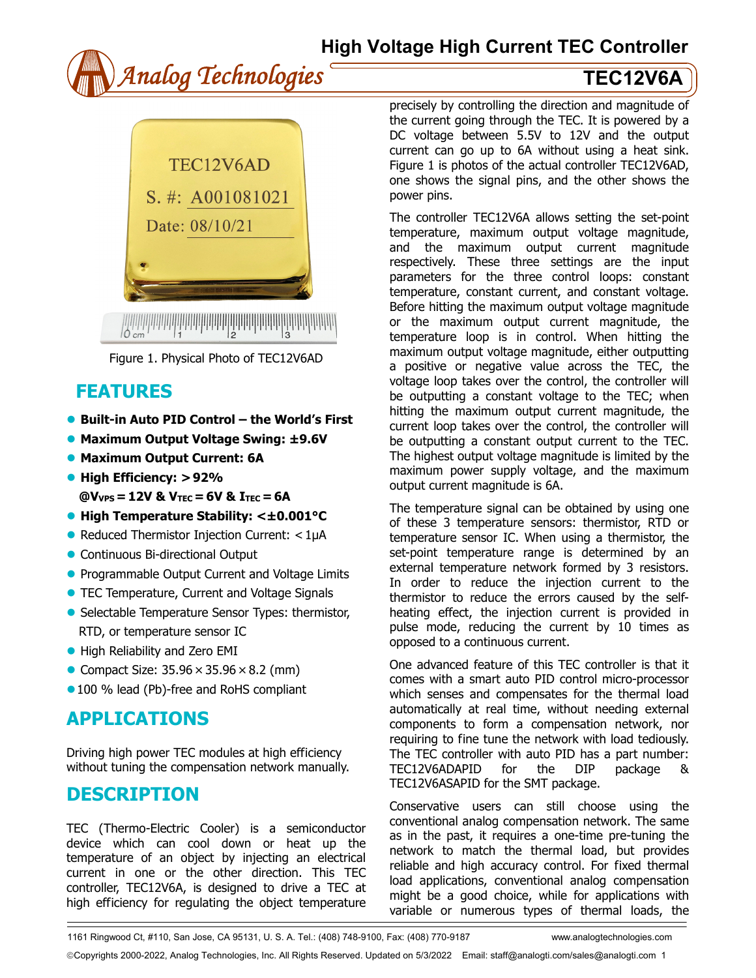



Figure 1. Physical Photo of TEC12V6AD

## **FEATURES**

- **Built-in Auto PID Control the World's First**
- **Maximum Output Voltage Swing: ±9.6V**
- **Maximum Output Current: 6A**
- **High Efficiency: > 92%**
- **@VVPS = 12V & VTEC = 6V & ITEC = 6A**
- **High Temperature Stability: <±0.001°C**
- Reduced Thermistor Injection Current: < 1µA
- Continuous Bi-directional Output
- **Programmable Output Current and Voltage Limits**
- **TEC Temperature, Current and Voltage Signals**
- Selectable Temperature Sensor Types: thermistor, RTD, or temperature sensor IC
- High Reliability and Zero EMI
- Compact Size:  $35.96 \times 35.96 \times 8.2$  (mm)
- **100 % lead (Pb)-free and RoHS compliant**

## **APPLICATIONS**

Driving high power TEC modules at high efficiency without tuning the compensation network manually.

## **DESCRIPTION**

TEC (Thermo-Electric Cooler) is a semiconductor device which can cool down or heat up the temperature of an object by injecting an electrical current in one or the other direction. This TEC controller, TEC12V6A, is designed to drive a TEC at high efficiency for regulating the object temperature

precisely by controlling the direction and magnitude of the current going through the TEC. It is powered by a DC voltage between 5.5V to 12V and the output current can go up to 6A without using a heat sink. Figure 1 is photos of the actual controller TEC12V6AD, one shows the signal pins, and the other shows the power pins.

The controller TEC12V6A allows setting the set-point temperature, maximum output voltage magnitude, and the maximum output current magnitude respectively. These three settings are the input parameters for the three control loops: constant temperature, constant current, and constant voltage. Before hitting the maximum output voltage magnitude or the maximum output current magnitude, the temperature loop is in control. When hitting the maximum output voltage magnitude, either outputting a positive or negative value across the TEC, the voltage loop takes over the control, the controller will be outputting a constant voltage to the TEC; when hitting the maximum output current magnitude, the current loop takes over the control, the controller will be outputting a constant output current to the TEC. The highest output voltage magnitude is limited by the maximum power supply voltage, and the maximum output current magnitude is 6A.

The temperature signal can be obtained by using one of these 3 temperature sensors: thermistor, RTD or temperature sensor IC. When using a thermistor, the set-point temperature range is determined by an external temperature network formed by 3 resistors. In order to reduce the injection current to the thermistor to reduce the errors caused by the selfheating effect, the injection current is provided in pulse mode, reducing the current by 10 times as opposed to a continuous current.

One advanced feature of this TEC controller is that it comes with a smart auto PID control micro-processor which senses and compensates for the thermal load automatically at real time, without needing external components to form a compensation network, nor requiring to fine tune the network with load tediously. The TEC controller with auto PID has a part number: TEC12V6ADAPID for the DIP package & TEC12V6ASAPID for the SMT package.

Conservative users can still choose using the conventional analog compensation network. The same as in the past, it requires a one-time pre-tuning the network to match the thermal load, but provides reliable and high accuracy control. For fixed thermal load applications, conventional analog compensation might be a good choice, while for applications with variable or numerous types of thermal loads, the

1161 Ringwood Ct, #110, San Jose, CA 95131, U. S. A. Tel.: (408) 748-9100, Fax: (408) 770-9187 www.analogtechnologies.com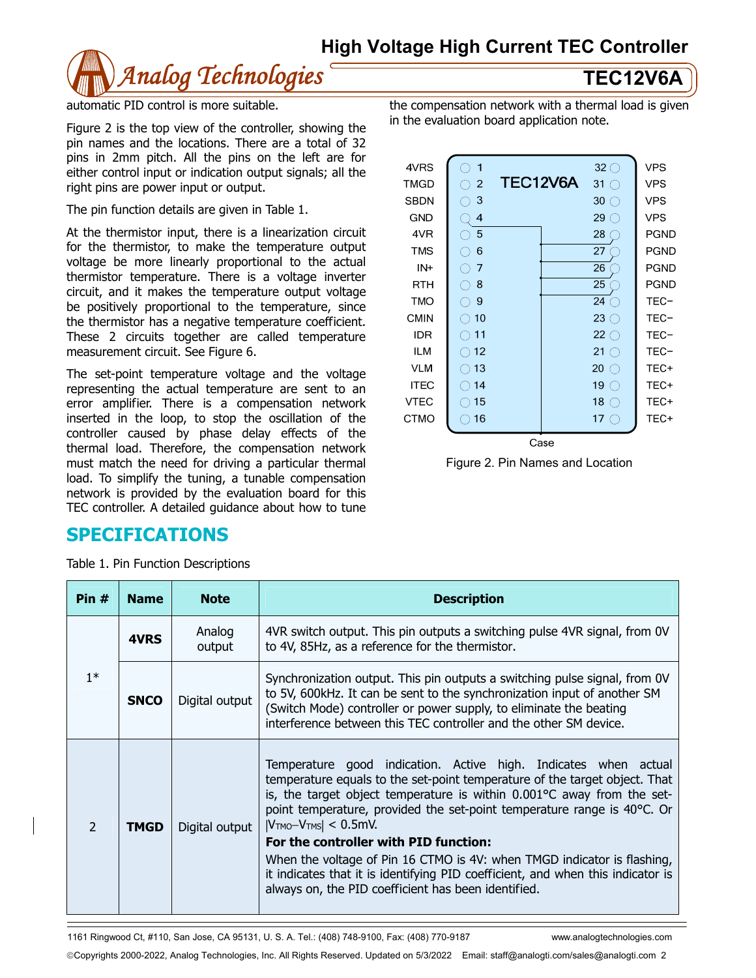

automatic PID control is more suitable.

Figure 2 is the top view of the controller, showing the pin names and the locations. There are a total of 32 pins in 2mm pitch. All the pins on the left are for either control input or indication output signals; all the right pins are power input or output.

The pin function details are given in Table 1.

At the thermistor input, there is a linearization circuit for the thermistor, to make the temperature output voltage be more linearly proportional to the actual thermistor temperature. There is a voltage inverter circuit, and it makes the temperature output voltage be positively proportional to the temperature, since the thermistor has a negative temperature coefficient. These 2 circuits together are called temperature measurement circuit. See Figure 6.

The set-point temperature voltage and the voltage representing the actual temperature are sent to an error amplifier. There is a compensation network inserted in the loop, to stop the oscillation of the controller caused by phase delay effects of the thermal load. Therefore, the compensation network must match the need for driving a particular thermal load. To simplify the tuning, a tunable compensation network is provided by the evaluation board for this TEC controller. A detailed guidance about how to tune

## **SPECIFICATIONS**

Table 1. Pin Function Descriptions

| the compensation network with a thermal load is given |
|-------------------------------------------------------|
| in the evaluation board application note.             |

| 4VRS        | 1                  |          |     | $32 \bigcirc$                                         | <b>VPS</b> |
|-------------|--------------------|----------|-----|-------------------------------------------------------|------------|
| <b>TMGD</b> | 2<br>( )           | TEC12V6A |     | $31^\circ$                                            | <b>VPS</b> |
| <b>SBDN</b> | 3<br>( )           |          |     | $30\bigcirc$                                          | <b>VPS</b> |
| <b>GND</b>  | 4                  |          |     | $29^\circ$                                            | <b>VPS</b> |
| 4VR         | 5<br>()            |          |     | 28                                                    | PGND       |
| <b>TMS</b>  | 6<br>$\rightarrow$ |          |     | 27                                                    | PGND       |
| IN+         | 7<br>( )           |          |     | 26                                                    | PGND       |
| <b>RTH</b>  | 8<br>( )           |          |     | 25                                                    | PGND       |
| <b>TMO</b>  | 9<br>( )           |          |     | 24<br>( )                                             | TEC-       |
| <b>CMIN</b> | $\bigcirc$ 10      |          |     | $23$ $\bigcirc$                                       | TEC-       |
| <b>IDR</b>  | 11<br>$( \ )$      |          |     | $22$ $\bigcirc$                                       | TEC-       |
| <b>ILM</b>  | 12                 |          |     | 21 $\bigcirc$                                         | TEC-       |
| <b>VLM</b>  | 13                 |          |     | 20<br>$\bigcirc$                                      | TEC+       |
| <b>ITEC</b> | )14                |          |     | 19 $\bigcirc$                                         | TEC+       |
| <b>VTEC</b> | 15                 |          |     | 18<br>$\left( \begin{array}{c} 1 \end{array} \right)$ | TEC+       |
| <b>CTMO</b> | 16                 |          |     | 17 <sub>1</sub><br>$(\ )$                             | TEC+       |
|             |                    |          | ∩ാഘ |                                                       |            |

Figure 2. Pin Names and Location

| Pin $#$                  | <b>Name</b> | <b>Note</b>      | <b>Description</b>                                                                                                                                                                                                                                                                                                                                                                                                                                                                                                                                                                                |
|--------------------------|-------------|------------------|---------------------------------------------------------------------------------------------------------------------------------------------------------------------------------------------------------------------------------------------------------------------------------------------------------------------------------------------------------------------------------------------------------------------------------------------------------------------------------------------------------------------------------------------------------------------------------------------------|
| $1*$                     | 4VRS        | Analog<br>output | 4VR switch output. This pin outputs a switching pulse 4VR signal, from 0V<br>to 4V, 85Hz, as a reference for the thermistor.                                                                                                                                                                                                                                                                                                                                                                                                                                                                      |
|                          | <b>SNCO</b> | Digital output   | Synchronization output. This pin outputs a switching pulse signal, from OV<br>to 5V, 600kHz. It can be sent to the synchronization input of another SM<br>(Switch Mode) controller or power supply, to eliminate the beating<br>interference between this TEC controller and the other SM device.                                                                                                                                                                                                                                                                                                 |
| $\overline{\phantom{a}}$ | <b>TMGD</b> | Digital output   | Temperature good indication. Active high. Indicates when actual<br>temperature equals to the set-point temperature of the target object. That<br>is, the target object temperature is within 0.001°C away from the set-<br>point temperature, provided the set-point temperature range is 40°C. Or<br>$ V_{TMO}-V_{TMS}  < 0.5$ mV.<br>For the controller with PID function:<br>When the voltage of Pin 16 CTMO is 4V: when TMGD indicator is flashing,<br>it indicates that it is identifying PID coefficient, and when this indicator is<br>always on, the PID coefficient has been identified. |

1161 Ringwood Ct, #110, San Jose, CA 95131, U. S. A. Tel.: (408) 748-9100, Fax: (408) 770-9187 www.analogtechnologies.com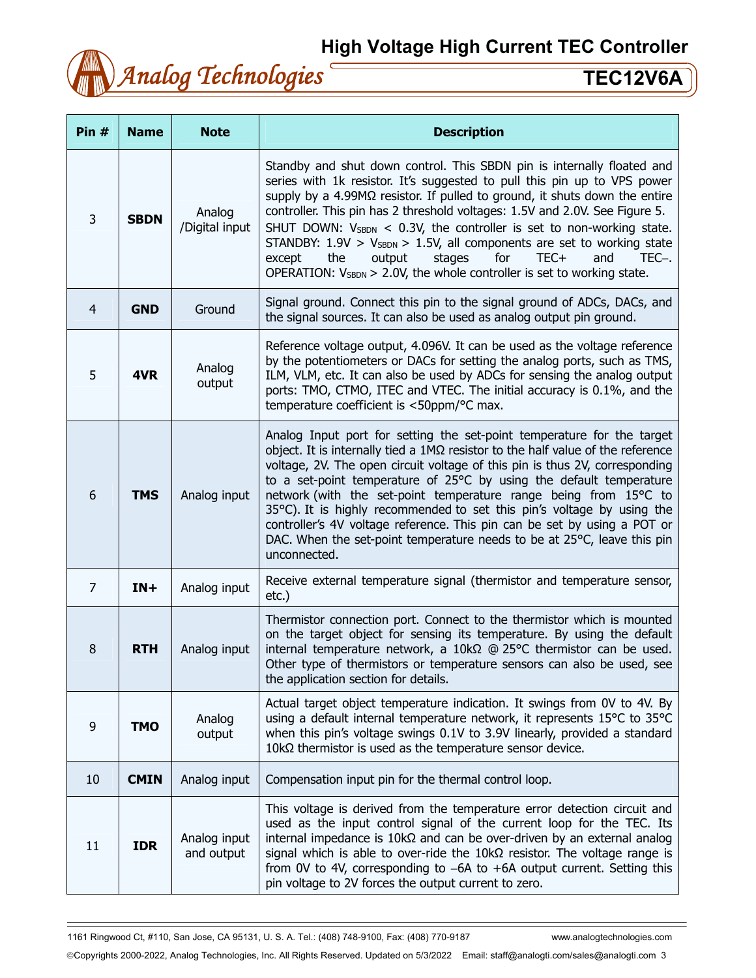

| Pin $#$        | <b>Name</b> | <b>Note</b>                | <b>Description</b>                                                                                                                                                                                                                                                                                                                                                                                                                                                                                                                                                                                                                          |
|----------------|-------------|----------------------------|---------------------------------------------------------------------------------------------------------------------------------------------------------------------------------------------------------------------------------------------------------------------------------------------------------------------------------------------------------------------------------------------------------------------------------------------------------------------------------------------------------------------------------------------------------------------------------------------------------------------------------------------|
| 3              | <b>SBDN</b> | Analog<br>/Digital input   | Standby and shut down control. This SBDN pin is internally floated and<br>series with 1k resistor. It's suggested to pull this pin up to VPS power<br>supply by a 4.99MΩ resistor. If pulled to ground, it shuts down the entire<br>controller. This pin has 2 threshold voltages: 1.5V and 2.0V. See Figure 5.<br>SHUT DOWN: $V_{SBDN}$ < 0.3V, the controller is set to non-working state.<br>STANDBY: $1.9V > V_{SBDN} > 1.5V$ , all components are set to working state<br>the<br>output<br>stages<br>for<br>TEC+<br>and<br>TEC-.<br>except<br>OPERATION: $V_{SBDN} > 2.0V$ , the whole controller is set to working state.             |
| $\overline{4}$ | <b>GND</b>  | Ground                     | Signal ground. Connect this pin to the signal ground of ADCs, DACs, and<br>the signal sources. It can also be used as analog output pin ground.                                                                                                                                                                                                                                                                                                                                                                                                                                                                                             |
| 5              | 4VR         | Analog<br>output           | Reference voltage output, 4.096V. It can be used as the voltage reference<br>by the potentiometers or DACs for setting the analog ports, such as TMS,<br>ILM, VLM, etc. It can also be used by ADCs for sensing the analog output<br>ports: TMO, CTMO, ITEC and VTEC. The initial accuracy is 0.1%, and the<br>temperature coefficient is <50ppm/°C max.                                                                                                                                                                                                                                                                                    |
| 6              | <b>TMS</b>  | Analog input               | Analog Input port for setting the set-point temperature for the target<br>object. It is internally tied a $1M\Omega$ resistor to the half value of the reference<br>voltage, 2V. The open circuit voltage of this pin is thus 2V, corresponding<br>to a set-point temperature of 25°C by using the default temperature<br>network (with the set-point temperature range being from 15°C to<br>35°C). It is highly recommended to set this pin's voltage by using the<br>controller's 4V voltage reference. This pin can be set by using a POT or<br>DAC. When the set-point temperature needs to be at 25°C, leave this pin<br>unconnected. |
| 7              | $IN+$       | Analog input               | Receive external temperature signal (thermistor and temperature sensor,<br>$etc.$ )                                                                                                                                                                                                                                                                                                                                                                                                                                                                                                                                                         |
| $\bf 8$        | <b>RTH</b>  | Analog input               | Thermistor connection port. Connect to the thermistor which is mounted<br>on the target object for sensing its temperature. By using the default<br>internal temperature network, a 10kΩ @ 25°C thermistor can be used.<br>Other type of thermistors or temperature sensors can also be used, see<br>the application section for details.                                                                                                                                                                                                                                                                                                   |
| 9              | <b>TMO</b>  | Analog<br>output           | Actual target object temperature indication. It swings from 0V to 4V. By<br>using a default internal temperature network, it represents 15°C to 35°C<br>when this pin's voltage swings 0.1V to 3.9V linearly, provided a standard<br>$10$ kΩ thermistor is used as the temperature sensor device.                                                                                                                                                                                                                                                                                                                                           |
| 10             | <b>CMIN</b> | Analog input               | Compensation input pin for the thermal control loop.                                                                                                                                                                                                                                                                                                                                                                                                                                                                                                                                                                                        |
| 11             | <b>IDR</b>  | Analog input<br>and output | This voltage is derived from the temperature error detection circuit and<br>used as the input control signal of the current loop for the TEC. Its<br>internal impedance is $10k\Omega$ and can be over-driven by an external analog<br>signal which is able to over-ride the $10k\Omega$ resistor. The voltage range is<br>from 0V to 4V, corresponding to $-6A$ to $+6A$ output current. Setting this<br>pin voltage to 2V forces the output current to zero.                                                                                                                                                                              |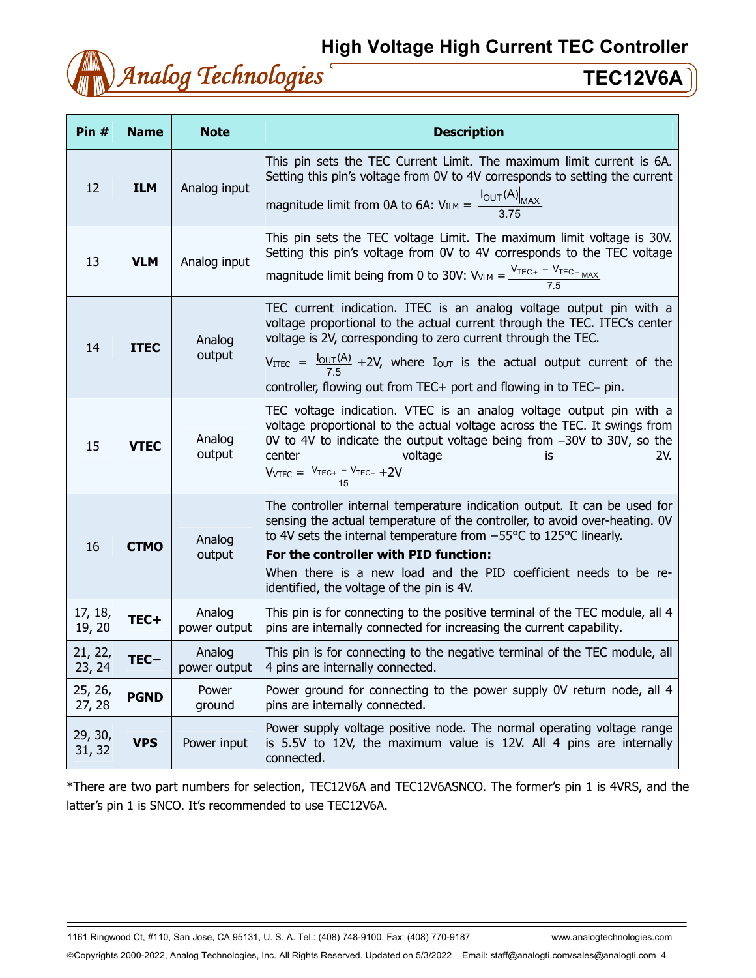

| Pin #             | <b>Name</b> | <b>Note</b>            | <b>Description</b>                                                                                                                                                                                                                                                                                                                                                                                           |
|-------------------|-------------|------------------------|--------------------------------------------------------------------------------------------------------------------------------------------------------------------------------------------------------------------------------------------------------------------------------------------------------------------------------------------------------------------------------------------------------------|
| 12                | <b>ILM</b>  | Analog input           | This pin sets the TEC Current Limit. The maximum limit current is 6A.<br>Setting this pin's voltage from 0V to 4V corresponds to setting the current<br>magnitude limit from 0A to 6A: $V_{ILM} = \frac{\left I_{OUT}(A)\right _{MAX}}{3.75}$                                                                                                                                                                |
| 13                | <b>VLM</b>  | Analog input           | This pin sets the TEC voltage Limit. The maximum limit voltage is 30V.<br>Setting this pin's voltage from 0V to 4V corresponds to the TEC voltage<br>magnitude limit being from 0 to 30V: $V_{VLM} = \frac{ V_{TEC+} - V_{TEC-} _{MAX}}{7.5}$                                                                                                                                                                |
| 14                | <b>ITEC</b> | Analog<br>output       | TEC current indication. ITEC is an analog voltage output pin with a<br>voltage proportional to the actual current through the TEC. ITEC's center<br>voltage is 2V, corresponding to zero current through the TEC.<br>VITEC = $\frac{I_{\text{OUT}}(A)}{7.5}$ +2V, where Iout is the actual output current of the<br>controller, flowing out from TEC+ port and flowing in to TEC- pin.                       |
| 15                | <b>VTEC</b> | Analog<br>output       | TEC voltage indication. VTEC is an analog voltage output pin with a<br>voltage proportional to the actual voltage across the TEC. It swings from<br>OV to 4V to indicate the output voltage being from $-30V$ to 30V, so the<br>2V.<br>center<br>voltage<br>İS<br>$V_{VTEC} = \frac{V_{TEC+} - V_{TEC-}}{15} + 2V$                                                                                           |
| 16                | <b>CTMO</b> | Analog<br>output       | The controller internal temperature indication output. It can be used for<br>sensing the actual temperature of the controller, to avoid over-heating. OV<br>to 4V sets the internal temperature from $-55^{\circ}$ C to 125 $^{\circ}$ C linearly.<br>For the controller with PID function:<br>When there is a new load and the PID coefficient needs to be re-<br>identified, the voltage of the pin is 4V. |
| 17, 18,<br>19, 20 | TEC+        | Analog<br>power output | This pin is for connecting to the positive terminal of the TEC module, all 4<br>pins are internally connected for increasing the current capability.                                                                                                                                                                                                                                                         |
| 21, 22,<br>23, 24 | $TEC -$     | Analog<br>power output | This pin is for connecting to the negative terminal of the TEC module, all<br>4 pins are internally connected.                                                                                                                                                                                                                                                                                               |
| 25, 26,<br>27, 28 | <b>PGND</b> | Power<br>ground        | Power ground for connecting to the power supply 0V return node, all 4<br>pins are internally connected.                                                                                                                                                                                                                                                                                                      |
| 29, 30,<br>31, 32 | <b>VPS</b>  | Power input            | Power supply voltage positive node. The normal operating voltage range<br>is 5.5V to 12V, the maximum value is 12V. All 4 pins are internally<br>connected.                                                                                                                                                                                                                                                  |

\*There are two part numbers for selection, TEC12V6A and TEC12V6ASNCO. The former's pin 1 is 4VRS, and the latter's pin 1 is SNCO. It's recommended to use TEC12V6A.

1161 Ringwood Ct, #110, San Jose, CA 95131, U. S. A. Tel.: (408) 748-9100, Fax: (408) 770-9187 www.analogtechnologies.com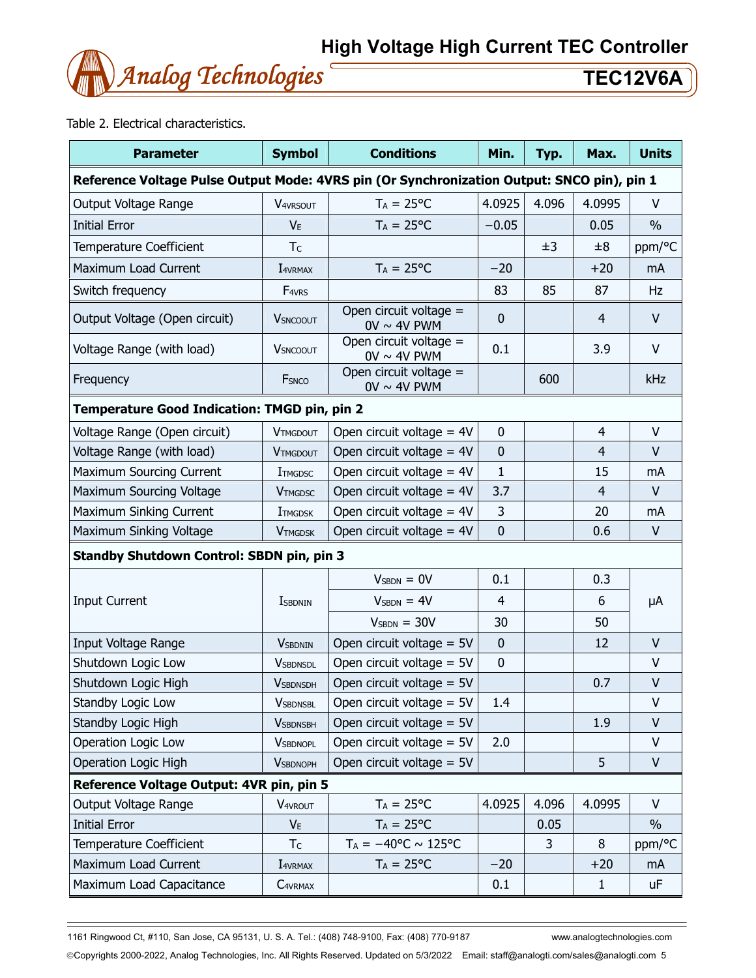

Table 2. Electrical characteristics.

| <b>Parameter</b>                                                                           | <b>Symbol</b>                               | <b>Conditions</b>                          | Min.         | Typ.  | Max.           | <b>Units</b>  |  |
|--------------------------------------------------------------------------------------------|---------------------------------------------|--------------------------------------------|--------------|-------|----------------|---------------|--|
| Reference Voltage Pulse Output Mode: 4VRS pin (Or Synchronization Output: SNCO pin), pin 1 |                                             |                                            |              |       |                |               |  |
| Output Voltage Range                                                                       | <b>V4VRSOUT</b>                             | $T_A = 25$ °C                              | 4.0925       | 4.096 | 4.0995         | V             |  |
| <b>Initial Error</b>                                                                       | $V_{E}$                                     | $T_A = 25^{\circ}C$                        | $-0.05$      |       | 0.05           | $\frac{0}{0}$ |  |
| <b>Temperature Coefficient</b>                                                             | T <sub>C</sub>                              |                                            |              | ±3    | ±8             | ppm/°C        |  |
| Maximum Load Current                                                                       | I4VRMAX                                     | $T_A = 25$ °C                              | $-20$        |       | $+20$          | mA            |  |
| Switch frequency                                                                           | F <sub>4VRS</sub>                           |                                            | 83           | 85    | 87             | Hz            |  |
| Output Voltage (Open circuit)                                                              | <b>V</b> SNCOOUT                            | Open circuit voltage =<br>$0V \sim 4V$ PWM | $\mathbf{0}$ |       | 4              | $\vee$        |  |
| Voltage Range (with load)                                                                  | <b>V</b> SNCOOUT                            | Open circuit voltage =<br>$0V \sim 4V$ PWM | 0.1          |       | 3.9            | $\vee$        |  |
| Frequency                                                                                  | FSNCO                                       | Open circuit voltage =<br>$0V \sim 4V$ PWM |              | 600   |                | kHz           |  |
| Temperature Good Indication: TMGD pin, pin 2                                               |                                             |                                            |              |       |                |               |  |
| Voltage Range (Open circuit)                                                               | <b>VTMGDOUT</b>                             | Open circuit voltage = $4V$                | $\mathbf 0$  |       | $\overline{4}$ | $\mathsf{V}$  |  |
| Voltage Range (with load)                                                                  | <b>VTMGDOUT</b>                             | Open circuit voltage = $4V$                | $\mathbf 0$  |       | $\overline{4}$ | $\vee$        |  |
| <b>Maximum Sourcing Current</b>                                                            | <b>I</b> TMGDSC                             | Open circuit voltage $=$ 4V                | $\mathbf{1}$ |       | 15             | mA            |  |
| Maximum Sourcing Voltage                                                                   | <b>VTMGDSC</b>                              | Open circuit voltage = $4V$                | 3.7          |       | $\overline{4}$ | $\vee$        |  |
| Maximum Sinking Current                                                                    | <b>I</b> TMGDSK                             | Open circuit voltage = $4V$                | 3            |       | 20             | mA            |  |
| Maximum Sinking Voltage                                                                    | Open circuit voltage = 4V<br><b>VTMGDSK</b> |                                            | $\mathbf 0$  |       | 0.6            | $\mathsf{V}$  |  |
| Standby Shutdown Control: SBDN pin, pin 3                                                  |                                             |                                            |              |       |                |               |  |
|                                                                                            |                                             | $VSBDN = 0V$                               | 0.1          |       | 0.3            |               |  |
| <b>Input Current</b>                                                                       | <b>I</b> SBDNIN                             | $VSBDN = 4V$<br>$\overline{4}$             |              |       | 6              | μA            |  |
|                                                                                            |                                             | $VSBDN = 30V$                              | 30<br>50     |       |                |               |  |
| Input Voltage Range                                                                        | <b>VSBDNIN</b>                              | Open circuit voltage $= 5V$                | $\mathbf 0$  |       | 12             | $\vee$        |  |
| Shutdown Logic Low                                                                         | <b>VSBDNSDL</b>                             | Open circuit voltage $= 5V$                | $\mathbf 0$  |       |                | $\vee$        |  |
| Shutdown Logic High                                                                        | <b>V</b> SBDNSDH                            | Open circuit voltage $= 5V$                |              |       | 0.7            | $\mathsf{V}$  |  |
| Standby Logic Low                                                                          | <b>VSBDNSBL</b>                             | Open circuit voltage $= 5V$                | 1.4          |       |                | V             |  |
| Standby Logic High                                                                         | <b>VSBDNSBH</b>                             | Open circuit voltage = $5V$                |              |       | 1.9            | $\vee$        |  |
| Operation Logic Low                                                                        | <b>VSBDNOPL</b>                             | Open circuit voltage $= 5V$                | 2.0          |       |                | V             |  |
| Operation Logic High                                                                       | <b>VSBDNOPH</b>                             | Open circuit voltage $= 5V$                |              |       | 5              | V             |  |
| Reference Voltage Output: 4VR pin, pin 5                                                   |                                             |                                            |              |       |                |               |  |
| Output Voltage Range                                                                       | <b>V</b> <sub>4VROUT</sub>                  | $T_A = 25$ °C                              | 4.0925       | 4.096 | 4.0995         | $\vee$        |  |
| <b>Initial Error</b>                                                                       | $V_{E}$                                     | $T_A = 25$ °C                              |              | 0.05  |                | $\frac{0}{0}$ |  |
| Temperature Coefficient                                                                    | T <sub>C</sub>                              | $T_A = -40$ °C ~ 125°C                     |              | 3     | 8              | ppm/°C        |  |
| Maximum Load Current                                                                       | I4VRMAX                                     | $T_A = 25$ °C                              | $-20$        |       | $+20$          | mA            |  |
| Maximum Load Capacitance                                                                   | C <sub>4</sub> VRMAX                        |                                            | 0.1          |       | $\mathbf{1}$   | uF            |  |

1161 Ringwood Ct, #110, San Jose, CA 95131, U. S. A. Tel.: (408) 748-9100, Fax: (408) 770-9187 www.analogtechnologies.com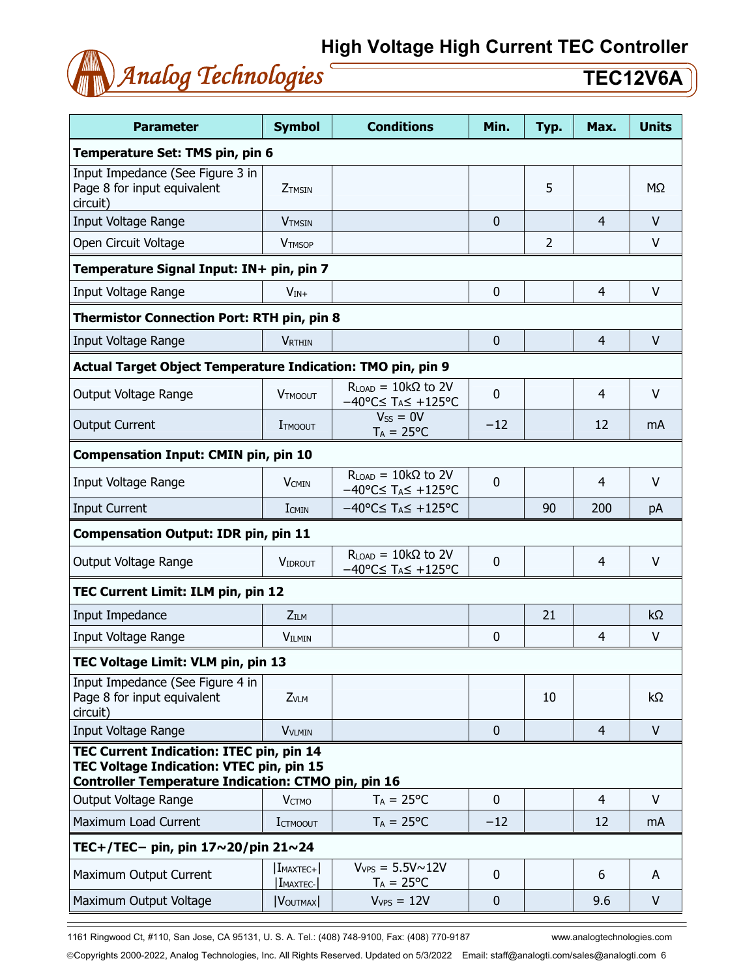

| <b>Parameter</b>                                                                                                                                   | <b>Symbol</b>                      | Min.                                                                                | Typ.         | Max.           | <b>Units</b>   |           |  |  |  |
|----------------------------------------------------------------------------------------------------------------------------------------------------|------------------------------------|-------------------------------------------------------------------------------------|--------------|----------------|----------------|-----------|--|--|--|
| Temperature Set: TMS pin, pin 6                                                                                                                    |                                    |                                                                                     |              |                |                |           |  |  |  |
| Input Impedance (See Figure 3 in<br>Page 8 for input equivalent<br>circuit)                                                                        | ZTMSIN                             |                                                                                     |              | 5              |                | ΜΩ        |  |  |  |
| Input Voltage Range                                                                                                                                | <b>V</b> TMSIN                     |                                                                                     | $\mathbf 0$  |                | 4              | V         |  |  |  |
| Open Circuit Voltage                                                                                                                               | <b>VTMSOP</b>                      |                                                                                     |              | $\overline{2}$ |                | $\vee$    |  |  |  |
| Temperature Signal Input: IN+ pin, pin 7                                                                                                           |                                    |                                                                                     |              |                |                |           |  |  |  |
| Input Voltage Range                                                                                                                                | $V_{IN+}$                          |                                                                                     | $\mathbf 0$  |                | $\overline{4}$ | $\vee$    |  |  |  |
| <b>Thermistor Connection Port: RTH pin, pin 8</b>                                                                                                  |                                    |                                                                                     |              |                |                |           |  |  |  |
| Input Voltage Range                                                                                                                                | <b>VRTHIN</b>                      |                                                                                     | $\mathbf{0}$ |                | $\overline{4}$ | $\vee$    |  |  |  |
| Actual Target Object Temperature Indication: TMO pin, pin 9                                                                                        |                                    |                                                                                     |              |                |                |           |  |  |  |
| Output Voltage Range                                                                                                                               | <b>VTMOOUT</b>                     | $R_{LOAD} = 10k\Omega$ to 2V<br>$-40^{\circ}$ C $\leq$ T <sub>A</sub> $\leq$ +125°C | $\bf{0}$     |                | 4              | $\vee$    |  |  |  |
| <b>Output Current</b>                                                                                                                              | <b>I</b> TMOOUT                    | $V_{SS} = 0V$<br>$T_A = 25^{\circ}C$                                                | $-12$        |                | 12             | mA        |  |  |  |
| <b>Compensation Input: CMIN pin, pin 10</b>                                                                                                        |                                    |                                                                                     |              |                |                |           |  |  |  |
| Input Voltage Range                                                                                                                                | <b>V</b> CMIN                      | $R_{LOAD} = 10k\Omega$ to 2V<br>$-40^{\circ}$ C $\leq$ T <sub>A</sub> $\leq$ +125°C | $\bf{0}$     |                | 4              | $\vee$    |  |  |  |
| <b>Input Current</b>                                                                                                                               | <b>I</b> CMIN                      | $-40^{\circ}$ C $\leq$ T <sub>A</sub> $\leq$ +125°C                                 |              | 90             | 200            | pA        |  |  |  |
| <b>Compensation Output: IDR pin, pin 11</b>                                                                                                        |                                    |                                                                                     |              |                |                |           |  |  |  |
| Output Voltage Range                                                                                                                               | <b>VIDROUT</b>                     | $R_{LOAD} = 10k\Omega$ to 2V<br>$-40^{\circ}$ C $\leq$ T <sub>A</sub> $\leq$ +125°C | $\bf{0}$     |                | 4              | V         |  |  |  |
| TEC Current Limit: ILM pin, pin 12                                                                                                                 |                                    |                                                                                     |              |                |                |           |  |  |  |
| Input Impedance                                                                                                                                    | Z <sub>ILM</sub>                   |                                                                                     |              | 21             |                | $k\Omega$ |  |  |  |
| Input Voltage Range                                                                                                                                | <b>VILMIN</b>                      |                                                                                     | $\bf{0}$     |                | 4              | $\vee$    |  |  |  |
| TEC Voltage Limit: VLM pin, pin 13                                                                                                                 |                                    |                                                                                     |              |                |                |           |  |  |  |
| Input Impedance (See Figure 4 in<br>Page 8 for input equivalent<br>circuit)                                                                        | ZVLM                               |                                                                                     |              | 10             |                | $k\Omega$ |  |  |  |
| <b>Input Voltage Range</b>                                                                                                                         | <b>VVLMIN</b>                      |                                                                                     | $\mathbf{0}$ |                | $\overline{4}$ | $\vee$    |  |  |  |
| TEC Current Indication: ITEC pin, pin 14<br>TEC Voltage Indication: VTEC pin, pin 15<br><b>Controller Temperature Indication: CTMO pin, pin 16</b> |                                    |                                                                                     |              |                |                |           |  |  |  |
| Output Voltage Range                                                                                                                               | <b>VCTMO</b>                       | $T_A = 25^{\circ}C$                                                                 | $\mathbf{0}$ |                | $\overline{4}$ | $\vee$    |  |  |  |
| Maximum Load Current                                                                                                                               | <b>I</b> CTMOOUT                   | $T_A = 25^{\circ}C$                                                                 | $-12$        |                | 12             | mA        |  |  |  |
| TEC+/TEC- pin, pin 17~20/pin 21~24                                                                                                                 |                                    |                                                                                     |              |                |                |           |  |  |  |
| Maximum Output Current                                                                                                                             | $ I_{MAXTEC+} $<br><b>IMAXTEC-</b> | $V_{VPS} = 5.5V \sim 12V$<br>$T_A = 25^{\circ}C$                                    | $\mathbf 0$  |                | 6              | A         |  |  |  |
| Maximum Output Voltage                                                                                                                             | V <sub>OUTMAX</sub>                | $V_{VPS} = 12V$                                                                     | $\mathbf 0$  |                | 9.6            | $\vee$    |  |  |  |

1161 Ringwood Ct, #110, San Jose, CA 95131, U. S. A. Tel.: (408) 748-9100, Fax: (408) 770-9187 www.analogtechnologies.com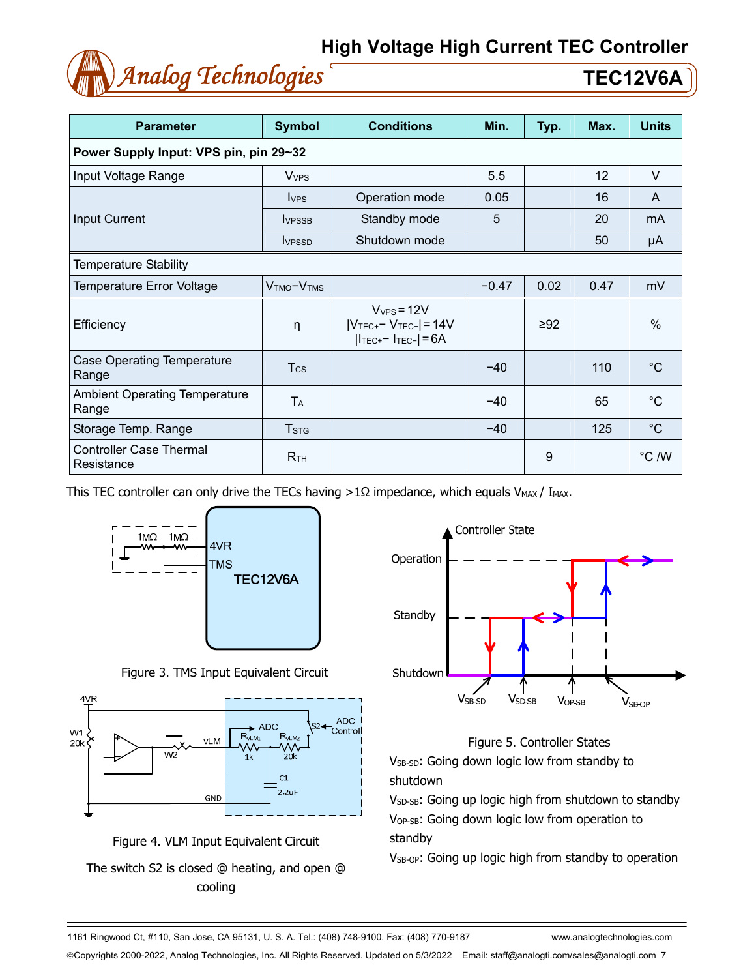

| <b>Parameter</b>                              | <b>Symbol</b>                      | <b>Conditions</b>                                                            | Min.    | Typ.      | Max. | <b>Units</b> |  |  |  |  |
|-----------------------------------------------|------------------------------------|------------------------------------------------------------------------------|---------|-----------|------|--------------|--|--|--|--|
| Power Supply Input: VPS pin, pin 29~32        |                                    |                                                                              |         |           |      |              |  |  |  |  |
| Input Voltage Range                           | <b>V</b> <sub>VPS</sub>            |                                                                              | 5.5     |           | 12   | V            |  |  |  |  |
|                                               | <b>VPS</b>                         | Operation mode                                                               | 0.05    |           | 16   | A            |  |  |  |  |
| Input Current                                 | <b>IVPSSB</b>                      | Standby mode                                                                 | 5       |           | 20   | mA           |  |  |  |  |
|                                               | <b>VPSSD</b>                       | Shutdown mode                                                                |         |           | 50   | μA           |  |  |  |  |
| Temperature Stability                         |                                    |                                                                              |         |           |      |              |  |  |  |  |
| Temperature Error Voltage                     | V <sub>TMO</sub> -V <sub>TMS</sub> |                                                                              | $-0.47$ | 0.02      | 0.47 | mV           |  |  |  |  |
| Efficiency                                    | η                                  | $V_{VPS} = 12V$<br>$ V_{TEC^+}$ $ V_{TEC^-}$ = 14V<br>$ ITEC+ - ITEC-  = 6A$ |         | $\geq 92$ |      | $\%$         |  |  |  |  |
| <b>Case Operating Temperature</b><br>Range    | $T_{\rm CS}$                       |                                                                              | $-40$   |           | 110  | $^{\circ}C$  |  |  |  |  |
| <b>Ambient Operating Temperature</b><br>Range | TA                                 |                                                                              | $-40$   |           | 65   | $^{\circ}C$  |  |  |  |  |
| Storage Temp. Range                           | <b>T</b> <sub>STG</sub>            |                                                                              | $-40$   |           | 125  | $^{\circ}$ C |  |  |  |  |
| <b>Controller Case Thermal</b><br>Resistance  | R <sub>TH</sub>                    |                                                                              |         | 9         |      | °C /W        |  |  |  |  |

This TEC controller can only drive the TECs having >1 $\Omega$  impedance, which equals V<sub>MAX</sub> / I<sub>MAX</sub>.







Figure 4. VLM Input Equivalent Circuit The switch S2 is closed @ heating, and open @ cooling



### Figure 5. Controller States

V<sub>SB-SD</sub>: Going down logic low from standby to shutdown

V<sub>SD-SB</sub>: Going up logic high from shutdown to standby VOP-SB: Going down logic low from operation to standby

V<sub>SB-OP</sub>: Going up logic high from standby to operation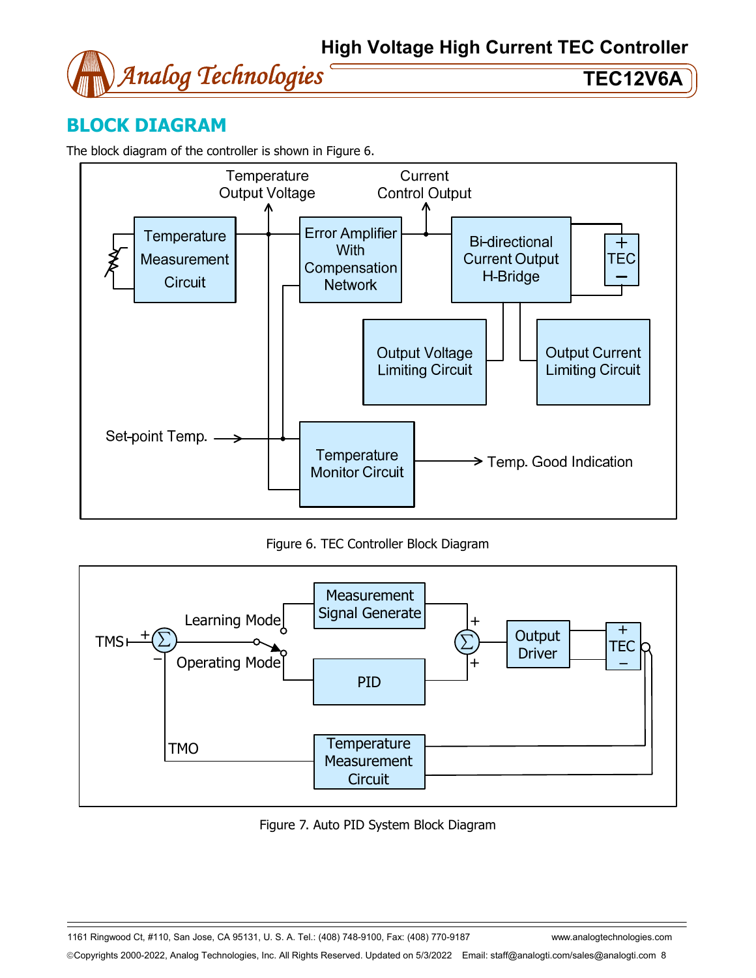

## **BLOCK DIAGRAM**

The block diagram of the controller is shown in Figure 6.



Figure 6. TEC Controller Block Diagram



Figure 7. Auto PID System Block Diagram

1161 Ringwood Ct, #110, San Jose, CA 95131, U. S. A. Tel.: (408) 748-9100, Fax: (408) 770-9187 www.analogtechnologies.com Copyrights 2000-2022, Analog Technologies, Inc. All Rights Reserved. Updated on 5/3/2022 Email: staff@analogti.com/sales@analogti.com 8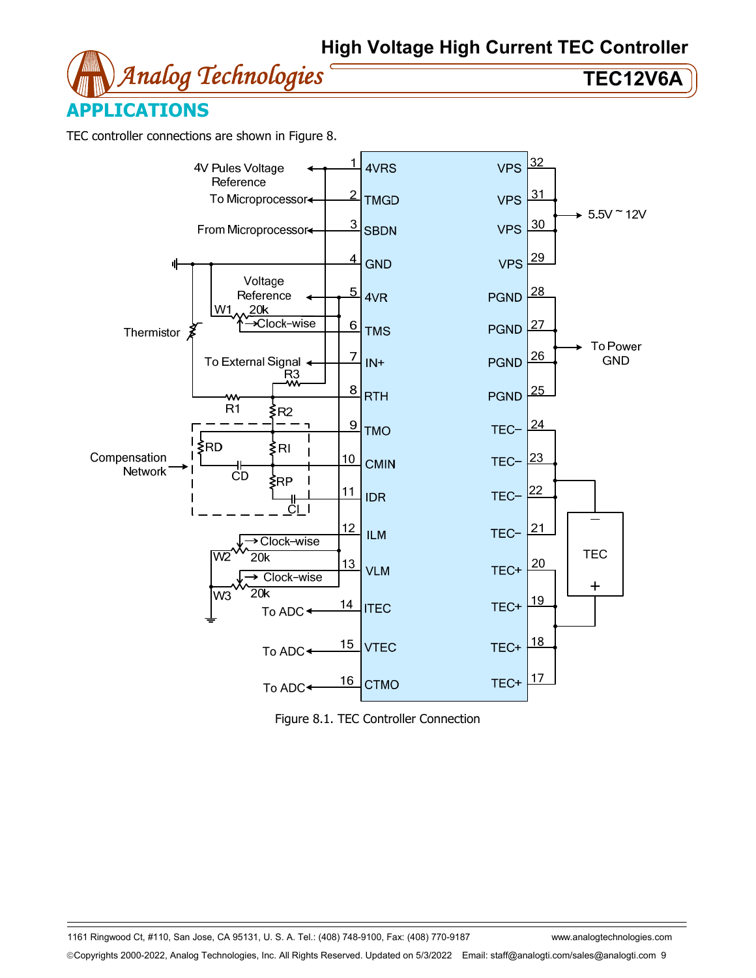



TEC controller connections are shown in Figure 8.



Figure 8.1. TEC Controller Connection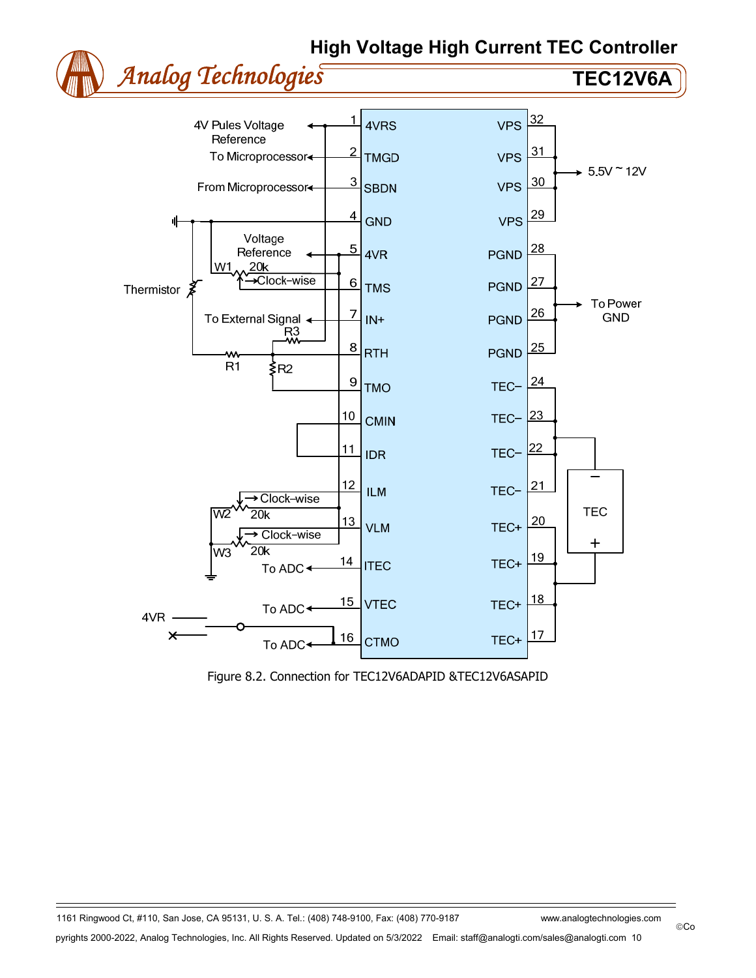



Figure 8.2. Connection for TEC12V6ADAPID &TEC12V6ASAPID

©Co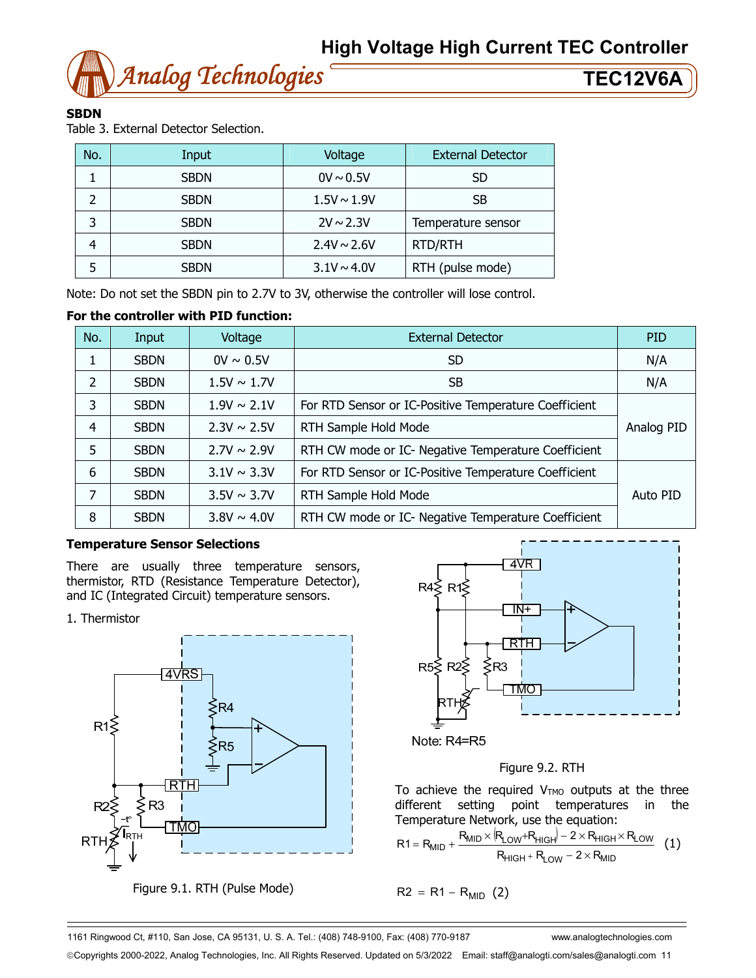

### **SBDN**

Table 3. External Detector Selection.

| No. | Input       | Voltage          | <b>External Detector</b> |
|-----|-------------|------------------|--------------------------|
|     | <b>SBDN</b> | $0V \sim 0.5V$   | <b>SD</b>                |
| っ   | <b>SBDN</b> | $1.5V \sim 1.9V$ | <b>SB</b>                |
| 3   | <b>SBDN</b> | $2V \sim 2.3V$   | Temperature sensor       |
|     | <b>SBDN</b> | $2.4V \sim 2.6V$ | <b>RTD/RTH</b>           |
| 5   | <b>SBDN</b> | $3.1V \sim 4.0V$ | RTH (pulse mode)         |

Note: Do not set the SBDN pin to 2.7V to 3V, otherwise the controller will lose control.

### **For the controller with PID function:**

| No.            | Input       | Voltage          | <b>External Detector</b>                              | <b>PID</b> |
|----------------|-------------|------------------|-------------------------------------------------------|------------|
| 1              | <b>SBDN</b> | $0V \sim 0.5V$   | SD.                                                   | N/A        |
| 2              | <b>SBDN</b> | $1.5V \sim 1.7V$ | <b>SB</b>                                             | N/A        |
| 3              | <b>SBDN</b> | $1.9V \sim 2.1V$ | For RTD Sensor or IC-Positive Temperature Coefficient |            |
| $\overline{4}$ | <b>SBDN</b> | $2.3V \sim 2.5V$ | RTH Sample Hold Mode                                  | Analog PID |
| 5              | <b>SBDN</b> | $2.7V \sim 2.9V$ | RTH CW mode or IC- Negative Temperature Coefficient   |            |
| 6              | <b>SBDN</b> | $3.1V \sim 3.3V$ | For RTD Sensor or IC-Positive Temperature Coefficient |            |
| 7              | <b>SBDN</b> | $3.5V \sim 3.7V$ | RTH Sample Hold Mode                                  | Auto PID   |
| 8              | <b>SBDN</b> | $3.8V \sim 4.0V$ | RTH CW mode or IC- Negative Temperature Coefficient   |            |

### **Temperature Sensor Selections**

There are usually three temperature sensors, thermistor, RTD (Resistance Temperature Detector), and IC (Integrated Circuit) temperature sensors.

### 1. Thermistor



Figure 9.1. RTH (Pulse Mode)



Figure 9.2. RTH

To achieve the required  $V<sub>TMO</sub>$  outputs at the three different setting point temperatures in the Temperature Network, use the equation:

$$
R1 = R_{MID} + \frac{R_{MID} \times (R_{LOW} + R_{HIGH}) - 2 \times R_{HIGH} \times R_{LOW}}{R_{HIGH} + R_{LOW} - 2 \times R_{MID}}
$$
(1)

$$
R2 = R1 - R_{MID} (2)
$$

1161 Ringwood Ct, #110, San Jose, CA 95131, U. S. A. Tel.: (408) 748-9100, Fax: (408) 770-9187 www.analogtechnologies.com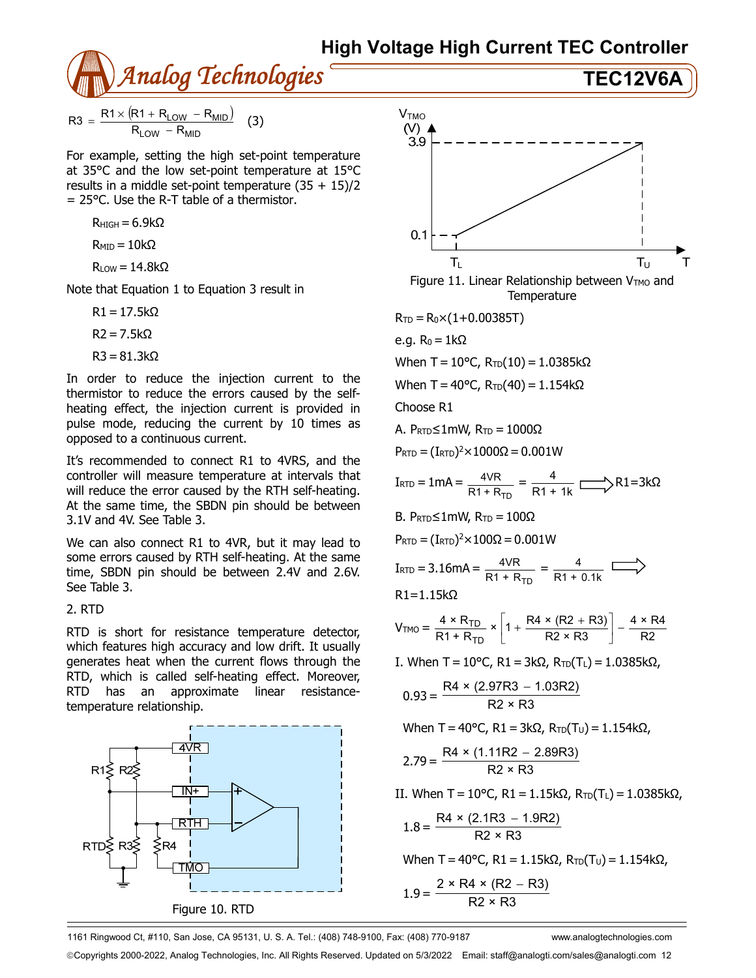

$$
R3 = \frac{R1 \times (R1 + R_{LOW} - R_{MID})}{R_{LOW} - R_{MID}} \quad (3)
$$

For example, setting the high set-point temperature at 35°C and the low set-point temperature at 15°C results in a middle set-point temperature  $(35 + 15)/2$  $= 25^{\circ}$ C. Use the R-T table of a thermistor.

$$
R_{\text{HIGH}}=6.9k\Omega
$$

$$
R_{\text{MID}} = 10 k \Omega
$$

$$
R_{LOW} = 14.8k\Omega
$$

Note that Equation 1 to Equation 3 result in

 $R1 = 17.5k\Omega$ 

 $R2 = 7.5k\Omega$ 

$$
R3 = 81.3k\Omega
$$

In order to reduce the injection current to the thermistor to reduce the errors caused by the selfheating effect, the injection current is provided in pulse mode, reducing the current by 10 times as opposed to a continuous current.

It's recommended to connect R1 to 4VRS, and the controller will measure temperature at intervals that will reduce the error caused by the RTH self-heating. At the same time, the SBDN pin should be between 3.1V and 4V. See Table 3.

We can also connect R1 to 4VR, but it may lead to some errors caused by RTH self-heating. At the same time, SBDN pin should be between 2.4V and 2.6V. See Table 3.

### 2. RTD

RTD is short for resistance temperature detector, which features high accuracy and low drift. It usually generates heat when the current flows through the RTD, which is called self-heating effect. Moreover, RTD has an approximate linear resistancetemperature relationship.





1161 Ringwood Ct, #110, San Jose, CA 95131, U. S. A. Tel.: (408) 748-9100, Fax: (408) 770-9187 www.analogtechnologies.com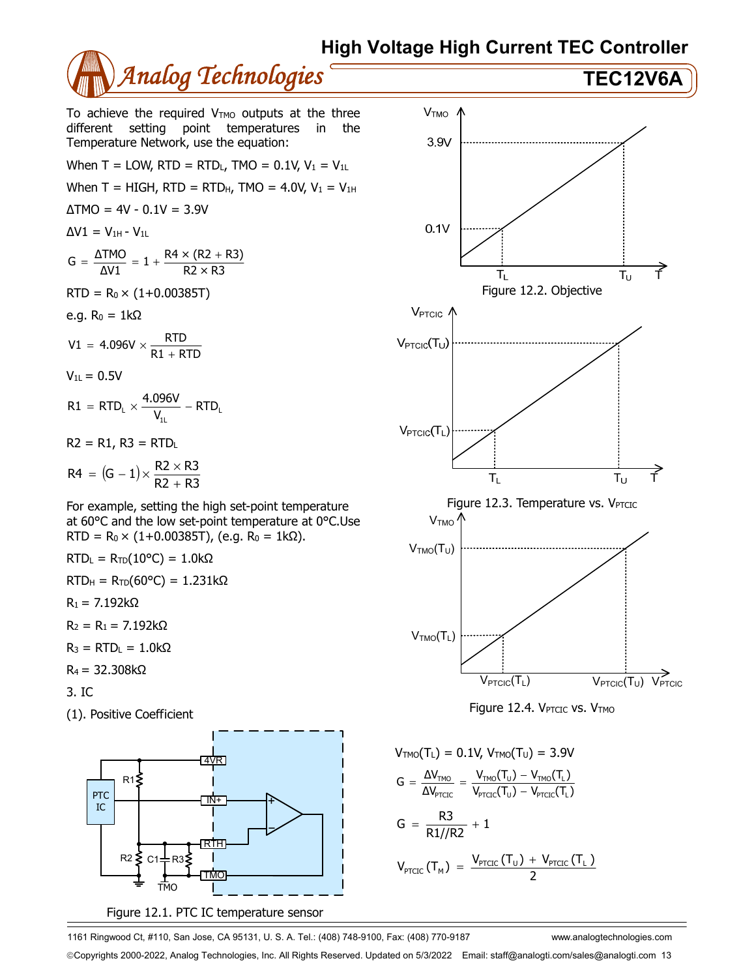

- 3. IC
- (1). Positive Coefficient



Figure 12.1. PTC IC temperature sensor



$$
G = \frac{\Delta V_{\text{TMO}}}{\Delta V_{\text{PTCL}}} = \frac{V_{\text{TMO}}(T_{\text{U}}) - V_{\text{TMO}}(T_{\text{L}})}{V_{\text{PTCL}}(T_{\text{U}}) - V_{\text{PTCL}}(T_{\text{L}})}
$$
\n
$$
G = \frac{R3}{R1//R2} + 1
$$
\n
$$
V_{\text{PTCLC}}(T_{\text{M}}) = \frac{V_{\text{PTCLC}}(T_{\text{U}}) + V_{\text{PTCLC}}(T_{\text{L}})}{2}
$$

1161 Ringwood Ct, #110, San Jose, CA 95131, U. S. A. Tel.: (408) 748-9100, Fax: (408) 770-9187 www.analogtechnologies.com Copyrights 2000-2022, Analog Technologies, Inc. All Rights Reserved. Updated on 5/3/2022 Email: staff@analogti.com/sales@analogti.com 13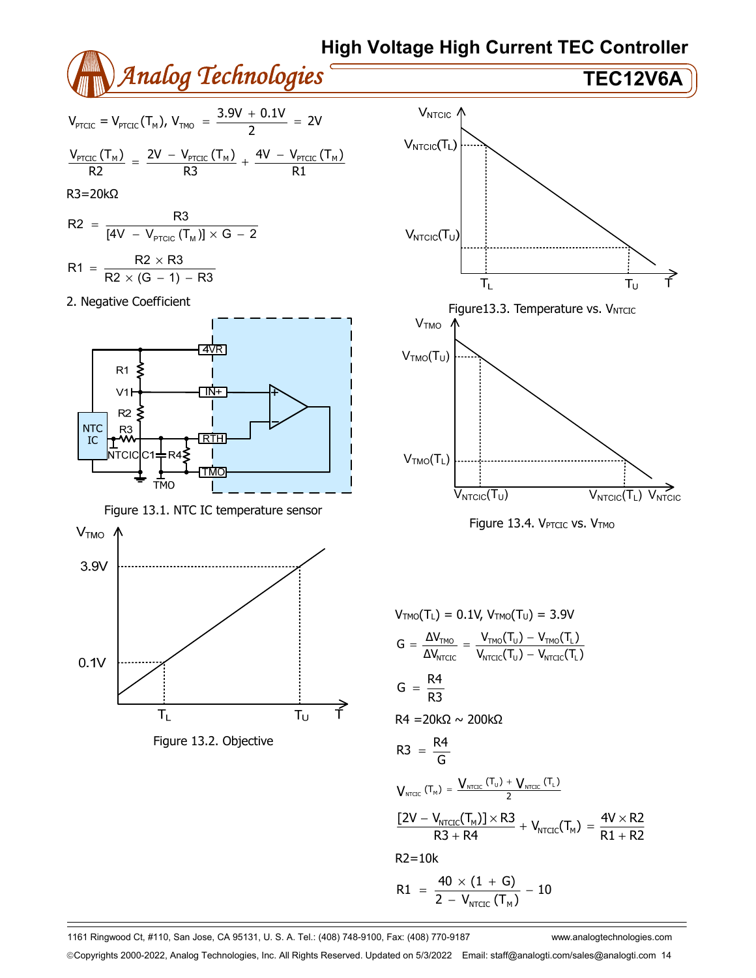

1161 Ringwood Ct, #110, San Jose, CA 95131, U. S. A. Tel.: (408) 748-9100, Fax: (408) 770-9187 www.analogtechnologies.com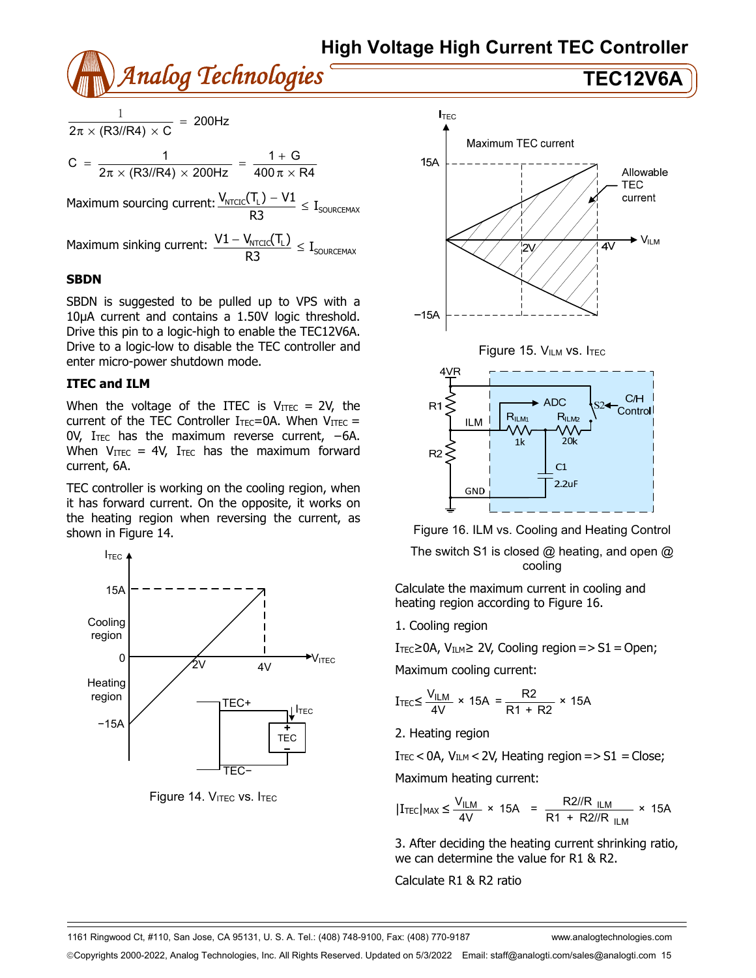

$$
\frac{1}{2\pi \times (R3 // R4) \times C} = 200 Hz
$$
  

$$
C = \frac{1}{2\pi \times (R3 // R4) \times 200 Hz} = \frac{1 + G}{400 \pi \times R4}
$$

Maximum sourcing current:  $\frac{V_{\text{NTCIC}}(T_{\text{L}}) - V1}{R3} \leq I_{\text{SOURCEMAX}}$ 

Maximum sinking current:  $\frac{V_{\text{1}} - V_{\text{NTCIC}}(V_{\text{L}})}{D2} \leq I_{\text{SOURCEMAX}}$  $\frac{V1 - V_{NTCIC}(T_L)}{R3} \le$ 

### **SBDN**

SBDN is suggested to be pulled up to VPS with a 10µA current and contains a 1.50V logic threshold. Drive this pin to a logic-high to enable the TEC12V6A. Drive to a logic-low to disable the TEC controller and enter micro-power shutdown mode.

### **ITEC and ILM**

When the voltage of the ITEC is  $V_{\text{ITEC}} = 2V$ , the current of the TEC Controller  $I_{TEC} = 0A$ . When  $V_{ITEC} =$ 0V, ITEC has the maximum reverse current, −6A. When  $V_{\text{ITEC}} = 4V$ , I<sub>TEC</sub> has the maximum forward current, 6A.

TEC controller is working on the cooling region, when it has forward current. On the opposite, it works on the heating region when reversing the current, as shown in Figure 14.



Figure 14. VITEC VS. ITEC





Figure 16. ILM vs. Cooling and Heating Control

The switch S1 is closed  $@$  heating, and open  $@$ cooling

Calculate the maximum current in cooling and heating region according to Figure 16.

1. Cooling region

 $I<sub>TEC</sub> ≥ 0A$ ,  $V<sub>ILM</sub> ≥ 2V$ , Cooling region = > S1 = Open;

Maximum cooling current:

$$
I_{\text{TEC}} \leq \frac{V_{\text{ILM}}}{4V} \times 15A = \frac{R2}{R1 + R2} \times 15A
$$

2. Heating region

 $I_{\text{TEC}}$  < 0A,  $V_{\text{ILM}}$  < 2V, Heating region = > S1 = Close; Maximum heating current:

$$
|I_{\text{TEC}}|_{\text{MAX}} \leq \frac{V_{\text{ILM}}}{4V} \times 15A = \frac{R2/R_{\text{ILM}}}{R1 + R2/R_{\text{ILM}}} \times 15A
$$

3. After deciding the heating current shrinking ratio, we can determine the value for R1 & R2.

Calculate R1 & R2 ratio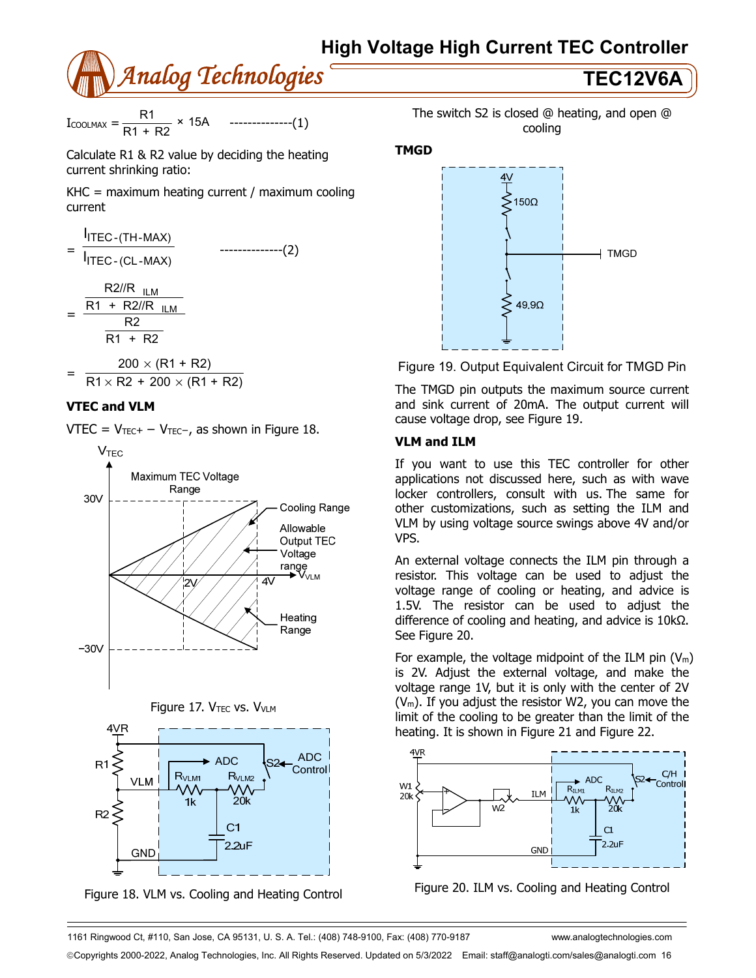

 $I_{\text{COOLMAX}} = \frac{R1}{R1 + R2} \times 15A$  --------------(1)

Calculate R1 & R2 value by deciding the heating current shrinking ratio:

KHC = maximum heating current / maximum cooling current

$$
= \frac{I_{\text{ITEC}-(\text{TH-MAX})}}{I_{\text{ITEC}-(\text{CL-MAX})}}
$$
 \n
$$
= \frac{R2I/R_{\text{ILM}}}{R1 + R2I/R_{\text{ILM}}}
$$
\n
$$
= \frac{R1 + R2I/R_{\text{ILM}}}{R1 + R2}
$$
\n
$$
200 \times (R1 + R2)
$$

$$
= \frac{200 \times (11 \times 12)}{R1 \times R2 + 200 \times (R1 + R2)}
$$

### **VTEC and VLM**

VTEC =  $V_{TEC}$  –  $V_{TEC}$ , as shown in Figure 18.







Figure 18. VLM vs. Cooling and Heating Control



### **TMGD**



Figure 19. Output Equivalent Circuit for TMGD Pin

The TMGD pin outputs the maximum source current and sink current of 20mA. The output current will cause voltage drop, see Figure 19.

### **VLM and ILM**

If you want to use this TEC controller for other applications not discussed here, such as with wave locker controllers, consult with us. The same for other customizations, such as setting the ILM and VLM by using voltage source swings above 4V and/or VPS.

An external voltage connects the ILM pin through a resistor. This voltage can be used to adjust the voltage range of cooling or heating, and advice is 1.5V. The resistor can be used to adjust the difference of cooling and heating, and advice is 10kΩ. See Figure 20.

For example, the voltage midpoint of the ILM pin  $(V_m)$ is 2V. Adjust the external voltage, and make the voltage range 1V, but it is only with the center of 2V  $(V_m)$ . If you adjust the resistor W2, you can move the limit of the cooling to be greater than the limit of the heating. It is shown in Figure 21 and Figure 22.



Figure 20. ILM vs. Cooling and Heating Control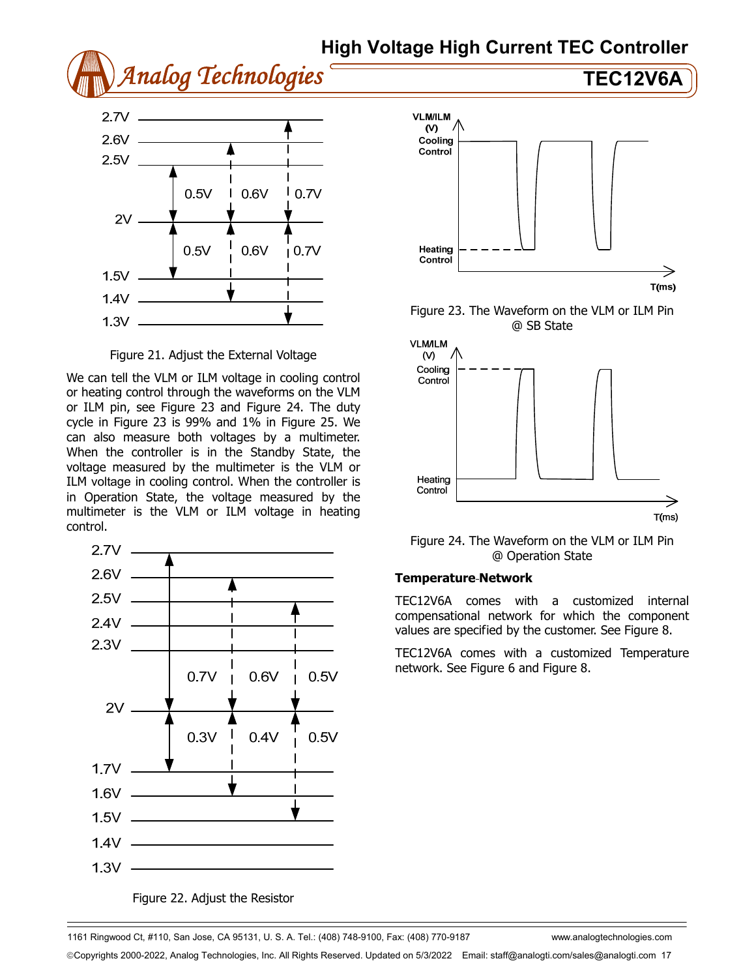



Figure 21. Adjust the External Voltage

We can tell the VLM or ILM voltage in cooling control or heating control through the waveforms on the VLM or ILM pin, see Figure 23 and Figure 24. The duty cycle in Figure 23 is 99% and 1% in Figure 25. We can also measure both voltages by a multimeter. When the controller is in the Standby State, the voltage measured by the multimeter is the VLM or ILM voltage in cooling control. When the controller is in Operation State, the voltage measured by the multimeter is the VLM or ILM voltage in heating control.



Figure 22. Adjust the Resistor



Figure 23. The Waveform on the VLM or ILM Pin @ SB State



Figure 24. The Waveform on the VLM or ILM Pin @ Operation State

### **Temperature Network**

TEC12V6A comes with a customized internal compensational network for which the component values are specified by the customer. See Figure 8.

TEC12V6A comes with a customized Temperature network. See Figure 6 and Figure 8.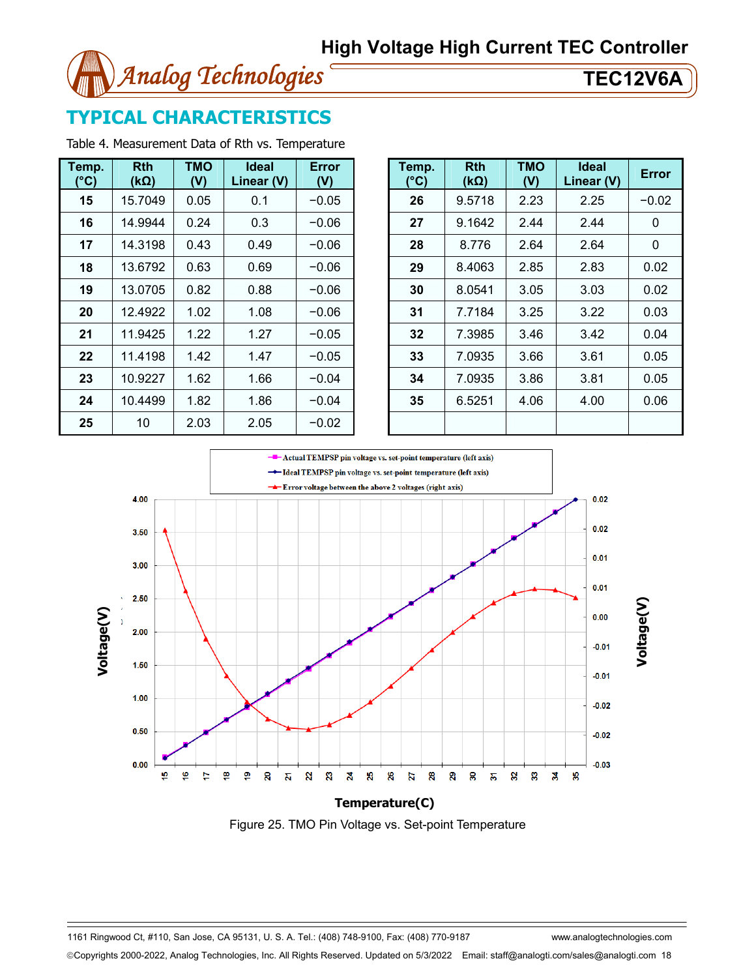

## **TYPICAL CHARACTERISTICS**

Table 4. Measurement Data of Rth vs. Temperature

| Temp.<br>(°C) | <b>Rth</b><br>(kΩ) | <b>TMO</b><br>(V) | <b>Ideal</b><br>Linear (V) | Error<br>(V) |  |         |
|---------------|--------------------|-------------------|----------------------------|--------------|--|---------|
| 15            | 15.7049            | 0.05              | 0.1                        | $-0.05$      |  |         |
| 16            | 14.9944            | 0.24              | 0.3                        | $-0.06$      |  |         |
| 17            | 14.3198            |                   | 0.43<br>0.49               |              |  | $-0.06$ |
| 18            | 13.6792            | 0.63              | 0.69                       | $-0.06$      |  |         |
| 19            | 13.0705            | 0.82<br>0.88      |                            | $-0.06$      |  |         |
| 20            | 12.4922            | 1.02<br>1.08      |                            | $-0.06$      |  |         |
| 21            | 11.9425            | 1.22              | 1.27                       | $-0.05$      |  |         |
| 22            | 11.4198            | 1.42              | 1.47                       | $-0.05$      |  |         |
| 23            | 10.9227            | 1.62              | 1.66                       | $-0.04$      |  |         |
| 24            | 10.4499            | 1.82              | 1.86                       | $-0.04$      |  |         |
| 25            | 10                 | 2.03              | 2.05                       | $-0.02$      |  |         |

| mp.<br>$^{\circ}$ C) | <b>Rth</b><br>$(k\Omega)$ | <b>TMO</b><br>(V) | <b>Ideal</b><br>Linear (V) | <b>Error</b><br>(V) | Temp.<br>(°C) | <b>Rth</b><br>$(k\Omega)$ | <b>TMO</b><br>(V) | Ideal<br>Linear (V) | <b>Error</b> |
|----------------------|---------------------------|-------------------|----------------------------|---------------------|---------------|---------------------------|-------------------|---------------------|--------------|
| 15                   | 15.7049                   | 0.05              | 0.1                        | $-0.05$             | 26            | 9.5718                    | 2.23              | 2.25                | $-0.02$      |
| 16                   | 14.9944                   | 0.24              | 0.3                        | $-0.06$             | 27            | 9.1642                    | 2.44              | 2.44                | 0            |
| 17                   | 14.3198                   | 0.43              | 0.49                       | $-0.06$             | 28            | 8.776                     | 2.64              | 2.64                | 0            |
| 18                   | 13.6792                   | 0.63              | 0.69                       | $-0.06$             | 29            | 8.4063                    | 2.85              | 2.83                | 0.02         |
| 19                   | 13.0705                   | 0.82              | 0.88                       | $-0.06$             | 30            | 8.0541                    | 3.05              | 3.03                | 0.02         |
| 20                   | 12.4922                   | 1.02              | 1.08                       | $-0.06$             | 31            | 7.7184                    | 3.25              | 3.22                | 0.03         |
| 21                   | 11.9425                   | 1.22              | 1.27                       | $-0.05$             | 32            | 7.3985                    | 3.46              | 3.42                | 0.04         |
| 22                   | 11.4198                   | 1.42              | 1.47                       | $-0.05$             | 33            | 7.0935                    | 3.66              | 3.61                | 0.05         |
| 23                   | 10.9227                   | 1.62              | 1.66                       | $-0.04$             | 34            | 7.0935                    | 3.86              | 3.81                | 0.05         |
| 24                   | 10.4499                   | 1.82              | 1.86                       | $-0.04$             | 35            | 6.5251                    | 4.06              | 4.00                | 0.06         |
| 25                   | 10                        | 2.03              | 2.05                       | $-0.02$             |               |                           |                   |                     |              |



Figure 25. TMO Pin Voltage vs. Set-point Temperature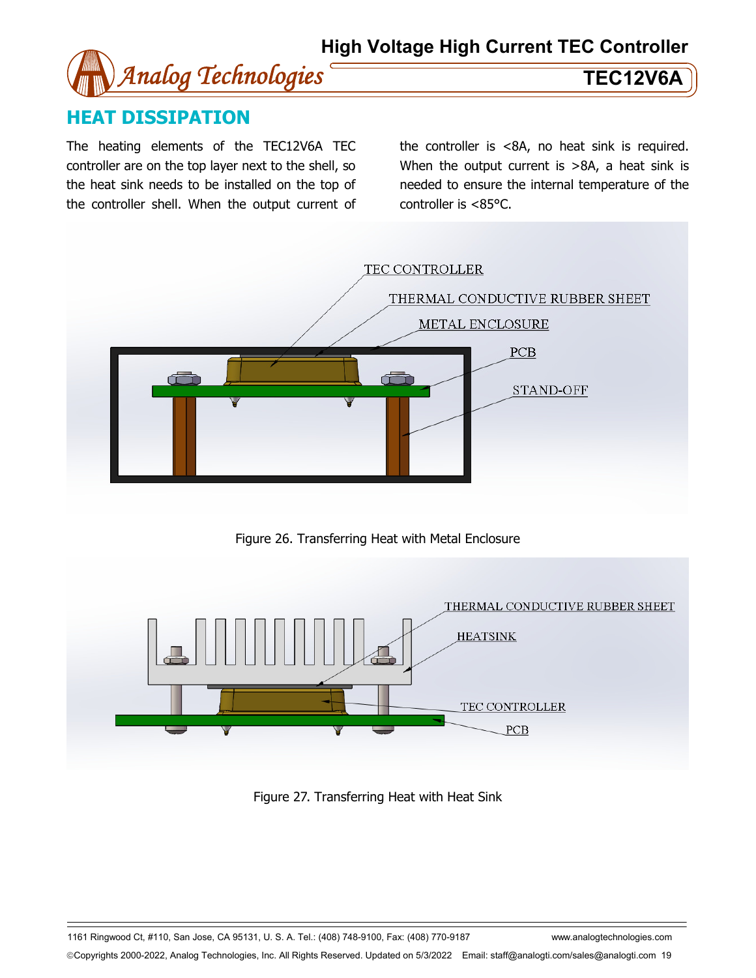

## **HEAT DISSIPATION**

The heating elements of the TEC12V6A TEC controller are on the top layer next to the shell, so the heat sink needs to be installed on the top of the controller shell. When the output current of the controller is <8A, no heat sink is required. When the output current is >8A, a heat sink is needed to ensure the internal temperature of the controller is <85°C.



Figure 26. Transferring Heat with Metal Enclosure



Figure 27. Transferring Heat with Heat Sink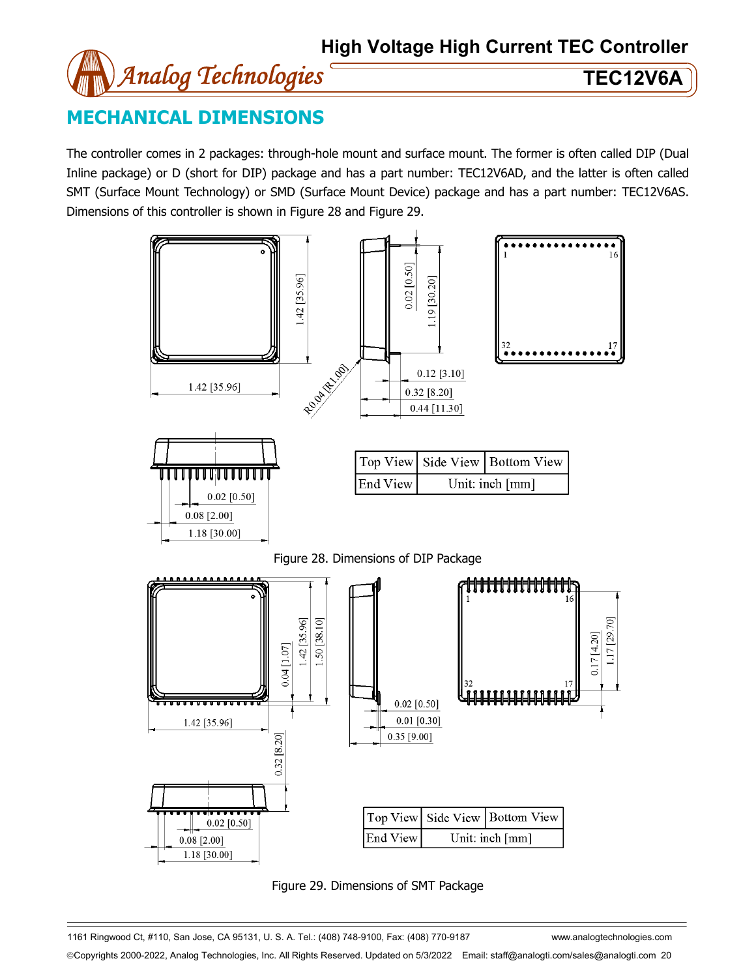

## **MECHANICAL DIMENSIONS**

The controller comes in 2 packages: through-hole mount and surface mount. The former is often called DIP (Dual Inline package) or D (short for DIP) package and has a part number: TEC12V6AD, and the latter is often called SMT (Surface Mount Technology) or SMD (Surface Mount Device) package and has a part number: TEC12V6AS. Dimensions of this controller is shown in Figure 28 and Figure 29.